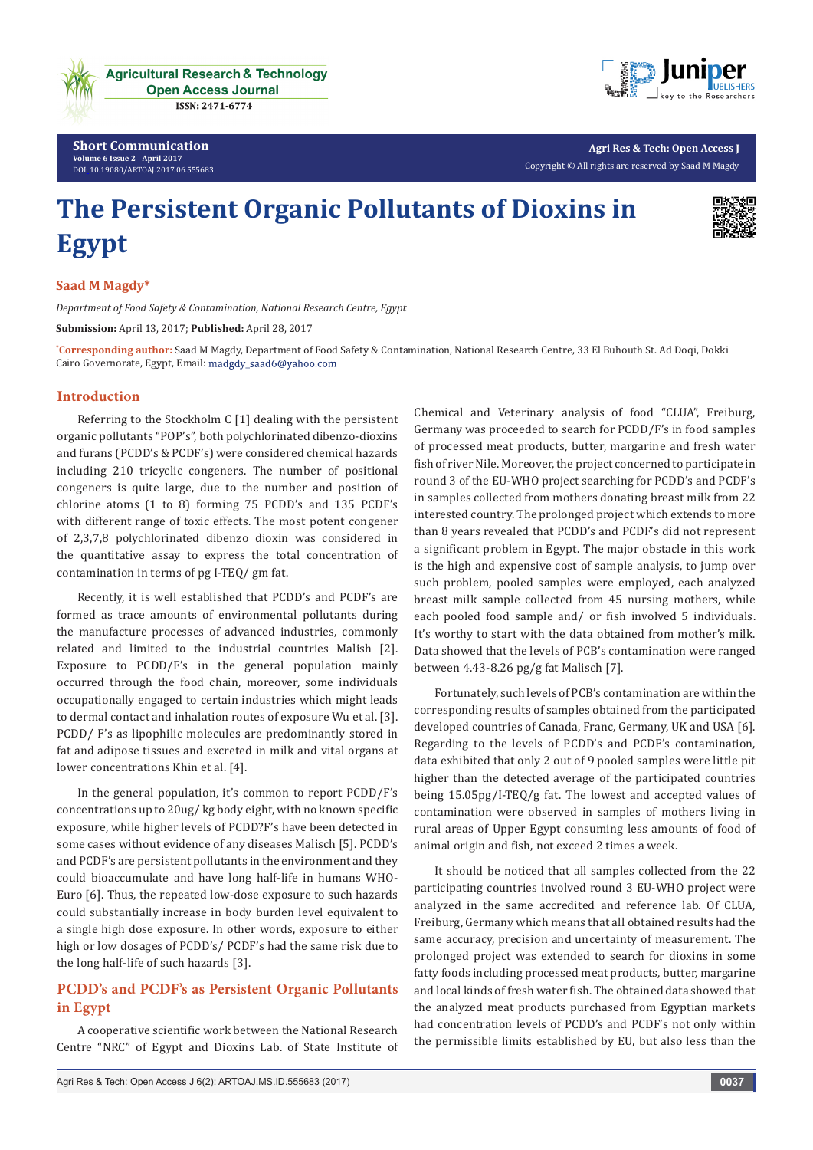



**Agri Res & Tech: Open Access J** Copyright © All rights are reserved by Saad M Magdy

# **The Persistent Organic Pollutants of Dioxins in Egypt**



## **Saad M Magdy\***

*Department of Food Safety & Contamination, National Research Centre, Egypt*

**Submission:** April 13, 2017; **Published:** April 28, 2017

**\* Corresponding author:** Saad M Magdy, Department of Food Safety & Contamination, National Research Centre, 33 El Buhouth St. Ad Doqi, Dokki Cairo Governorate, Egypt, Email: madgdy\_saad6@yahoo.com

#### **Introduction**

Referring to the Stockholm C [1] dealing with the persistent organic pollutants "POP's", both polychlorinated dibenzo-dioxins and furans (PCDD's & PCDF's) were considered chemical hazards including 210 tricyclic congeners. The number of positional congeners is quite large, due to the number and position of chlorine atoms (1 to 8) forming 75 PCDD's and 135 PCDF's with different range of toxic effects. The most potent congener of 2,3,7,8 polychlorinated dibenzo dioxin was considered in the quantitative assay to express the total concentration of contamination in terms of pg I-TEQ/ gm fat.

Recently, it is well established that PCDD's and PCDF's are formed as trace amounts of environmental pollutants during the manufacture processes of advanced industries, commonly related and limited to the industrial countries Malish [2]. Exposure to PCDD/F's in the general population mainly occurred through the food chain, moreover, some individuals occupationally engaged to certain industries which might leads to dermal contact and inhalation routes of exposure Wu et al. [3]. PCDD/ F's as lipophilic molecules are predominantly stored in fat and adipose tissues and excreted in milk and vital organs at lower concentrations Khin et al. [4].

In the general population, it's common to report PCDD/F's concentrations up to 20ug/ kg body eight, with no known specific exposure, while higher levels of PCDD?F's have been detected in some cases without evidence of any diseases Malisch [5]. PCDD's and PCDF's are persistent pollutants in the environment and they could bioaccumulate and have long half-life in humans WHO-Euro [6]. Thus, the repeated low-dose exposure to such hazards could substantially increase in body burden level equivalent to a single high dose exposure. In other words, exposure to either high or low dosages of PCDD's/ PCDF's had the same risk due to the long half-life of such hazards [3].

## **PCDD's and PCDF's as Persistent Organic Pollutants in Egypt**

A cooperative scientific work between the National Research Centre "NRC" of Egypt and Dioxins Lab. of State Institute of

Chemical and Veterinary analysis of food "CLUA", Freiburg, Germany was proceeded to search for PCDD/F's in food samples of processed meat products, butter, margarine and fresh water fish of river Nile. Moreover, the project concerned to participate in round 3 of the EU-WHO project searching for PCDD's and PCDF's in samples collected from mothers donating breast milk from 22 interested country. The prolonged project which extends to more than 8 years revealed that PCDD's and PCDF's did not represent a significant problem in Egypt. The major obstacle in this work is the high and expensive cost of sample analysis, to jump over such problem, pooled samples were employed, each analyzed breast milk sample collected from 45 nursing mothers, while each pooled food sample and/ or fish involved 5 individuals. It's worthy to start with the data obtained from mother's milk. Data showed that the levels of PCB's contamination were ranged between 4.43-8.26 pg/g fat Malisch [7].

Fortunately, such levels of PCB's contamination are within the corresponding results of samples obtained from the participated developed countries of Canada, Franc, Germany, UK and USA [6]. Regarding to the levels of PCDD's and PCDF's contamination, data exhibited that only 2 out of 9 pooled samples were little pit higher than the detected average of the participated countries being 15.05pg/I-TEQ/g fat. The lowest and accepted values of contamination were observed in samples of mothers living in rural areas of Upper Egypt consuming less amounts of food of animal origin and fish, not exceed 2 times a week.

It should be noticed that all samples collected from the 22 participating countries involved round 3 EU-WHO project were analyzed in the same accredited and reference lab. Of CLUA, Freiburg, Germany which means that all obtained results had the same accuracy, precision and uncertainty of measurement. The prolonged project was extended to search for dioxins in some fatty foods including processed meat products, butter, margarine and local kinds of fresh water fish. The obtained data showed that the analyzed meat products purchased from Egyptian markets had concentration levels of PCDD's and PCDF's not only within the permissible limits established by EU, but also less than the